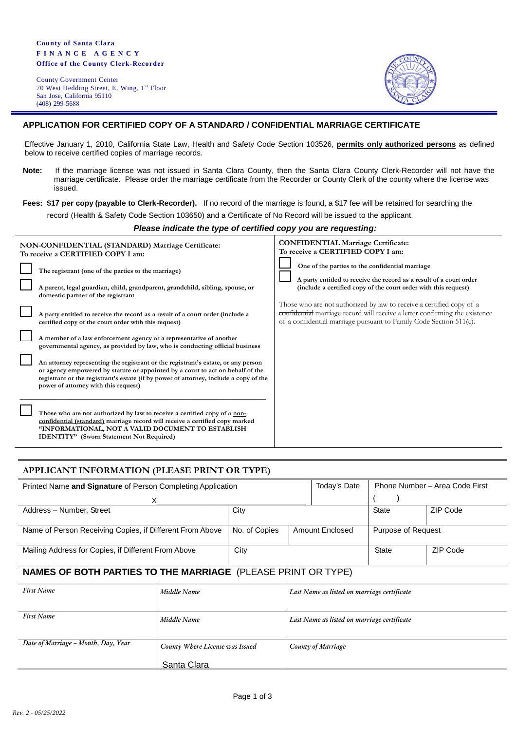County Government Center 70 West Hedding Street, E. Wing, 1st Floor San Jose, California 95110 (408) 299-5688



## **APPLICATION FOR CERTIFIED COPY OF A STANDARD / CONFIDENTIAL MARRIAGE CERTIFICATE**

Effective January 1, 2010, California State Law, Health and Safety Code Section 103526, **permits only authorized persons** as defined below to receive certified copies of marriage records.

- **Note:** If the marriage license was not issued in Santa Clara County, then the Santa Clara County Clerk-Recorder will not have the marriage certificate. Please order the marriage certificate from the Recorder or County Clerk of the county where the license was issued.
- **Fees: \$17 per copy (payable to Clerk-Recorder).** If no record of the marriage is found, a \$17 fee will be retained for searching the

record (Health & Safety Code Section 103650) and a Certificate of No Record will be issued to the applicant.

#### *Please indicate the type of certified copy you are requesting:*

| NON-CONFIDENTIAL (STANDARD) Marriage Certificate:<br>To receive a CERTIFIED COPY I am: |                                                                                                                                                                                                                                                                                                      | <b>CONFIDENTIAL Marriage Certificate:</b><br>To receive a CERTIFIED COPY I am:                                                                                                                                            |
|----------------------------------------------------------------------------------------|------------------------------------------------------------------------------------------------------------------------------------------------------------------------------------------------------------------------------------------------------------------------------------------------------|---------------------------------------------------------------------------------------------------------------------------------------------------------------------------------------------------------------------------|
|                                                                                        | The registrant (one of the parties to the marriage)<br>A parent, legal guardian, child, grandparent, grandchild, sibling, spouse, or<br>domestic partner of the registrant                                                                                                                           | One of the parties to the confidential marriage<br>A party entitled to receive the record as a result of a court order<br>(include a certified copy of the court order with this request)                                 |
|                                                                                        | A party entitled to receive the record as a result of a court order (include a<br>certified copy of the court order with this request)                                                                                                                                                               | Those who are not authorized by law to receive a certified copy of a<br>confidential marriage record will receive a letter confirming the existence<br>of a confidential marriage pursuant to Family Code Section 511(c). |
|                                                                                        | A member of a law enforcement agency or a representative of another<br>governmental agency, as provided by law, who is conducting official business                                                                                                                                                  |                                                                                                                                                                                                                           |
|                                                                                        | An attorney representing the registrant or the registrant's estate, or any person<br>or agency empowered by statute or appointed by a court to act on behalf of the<br>registrant or the registrant's estate (if by power of attorney, include a copy of the<br>power of attorney with this request) |                                                                                                                                                                                                                           |
|                                                                                        | Those who are not authorized by law to receive a certified copy of a non-<br>confidential (standard) marriage record will receive a certified copy marked<br>"INFORMATIONAL, NOT A VALID DOCUMENT TO ESTABLISH<br><b>IDENTITY</b> " (Sworn Statement Not Required)                                   |                                                                                                                                                                                                                           |

## **APPLICANT INFORMATION (PLEASE PRINT OR TYPE)**

| Printed Name and Signature of Person Completing Application | Today's Date  | Phone Number - Area Code First |                 |                    |          |
|-------------------------------------------------------------|---------------|--------------------------------|-----------------|--------------------|----------|
|                                                             |               |                                |                 |                    |          |
| Address - Number, Street                                    | City          |                                | <b>State</b>    | ZIP Code           |          |
|                                                             |               |                                |                 |                    |          |
| Name of Person Receiving Copies, if Different From Above    | No. of Copies |                                | Amount Enclosed | Purpose of Request |          |
| Mailing Address for Copies, if Different From Above         | City          |                                |                 | <b>State</b>       | ZIP Code |

# **NAMES OF BOTH PARTIES TO THE MARRIAGE** (PLEASE PRINT OR TYPE)

| <b>First Name</b>                   | Middle Name                     | Last Name as listed on marriage certificate |  |
|-------------------------------------|---------------------------------|---------------------------------------------|--|
|                                     |                                 |                                             |  |
| <b>First Name</b>                   | Middle Name                     | Last Name as listed on marriage certificate |  |
| Date of Marriage - Month, Day, Year | County Where License was Issued | County of Marriage                          |  |
|                                     | Santa Clara                     |                                             |  |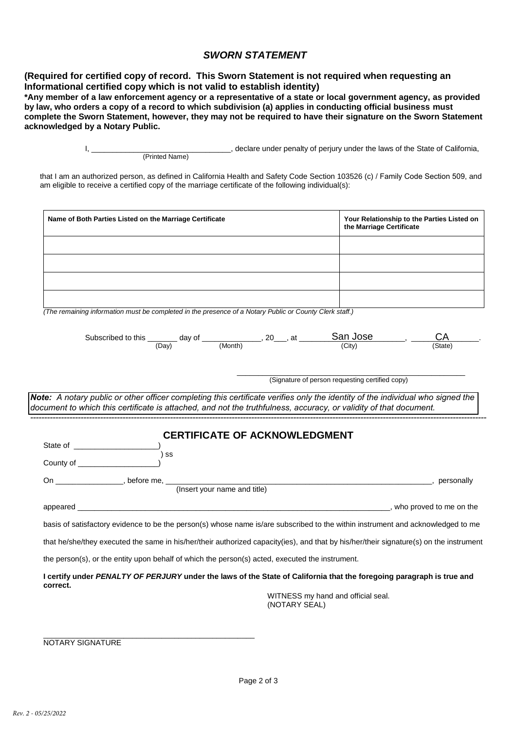# *SWORN STATEMENT*

**(Required for certified copy of record. This Sworn Statement is not required when requesting an Informational certified copy which is not valid to establish identity)**

\*Any member of a law enforcement agency or a representative of a state or local government agency, as provided by law, who orders a copy of a record to which subdivision (a) applies in conducting official business must complete the Sworn Statement, however, they may not be required to have their signature on the Sworn Statement **acknowledged by a Notary Public.**

> I, \_\_\_\_\_\_\_\_\_\_\_\_\_\_\_\_\_\_\_\_\_\_\_\_\_\_\_\_\_\_\_\_\_, declare under penalty of perjury under the laws of the State of California, (Printed Name)

that I am an authorized person, as defined in California Health and Safety Code Section 103526 (c) / Family Code Section 509, and am eligible to receive a certified copy of the marriage certificate of the following individual(s):

| Name of Both Parties Listed on the Marriage Certificate                                                                                                                                                                                             | Your Relationship to the Parties Listed on<br>the Marriage Certificate |  |  |  |  |  |
|-----------------------------------------------------------------------------------------------------------------------------------------------------------------------------------------------------------------------------------------------------|------------------------------------------------------------------------|--|--|--|--|--|
|                                                                                                                                                                                                                                                     |                                                                        |  |  |  |  |  |
|                                                                                                                                                                                                                                                     |                                                                        |  |  |  |  |  |
|                                                                                                                                                                                                                                                     |                                                                        |  |  |  |  |  |
| (The remaining information must be completed in the presence of a Notary Public or County Clerk staff.)                                                                                                                                             |                                                                        |  |  |  |  |  |
| Subscribed to this $\underbrace{\hspace{2cm}}$ (Day) day of $\underbrace{\hspace{2cm}}$ (Month) $\hspace{2cm}$ , 20, at $\underbrace{\hspace{2cm}}$ San Jose                                                                                        | (State)                                                                |  |  |  |  |  |
|                                                                                                                                                                                                                                                     | (Signature of person requesting certified copy)                        |  |  |  |  |  |
| Note: A notary public or other officer completing this certificate verifies only the identity of the individual who signed the<br>document to which this certificate is attached, and not the truthfulness, accuracy, or validity of that document. |                                                                        |  |  |  |  |  |
| <b>CERTIFICATE OF ACKNOWLEDGMENT</b><br>$\mathsf{S}$<br>County of $\frac{1}{2}$ county of $\frac{1}{2}$ county of $\frac{1}{2}$                                                                                                                     |                                                                        |  |  |  |  |  |
| (Insert your name and title)<br>On _____________________, before me, ____                                                                                                                                                                           | example to personally                                                  |  |  |  |  |  |
|                                                                                                                                                                                                                                                     |                                                                        |  |  |  |  |  |
| basis of satisfactory evidence to be the person(s) whose name is/are subscribed to the within instrument and acknowledged to me                                                                                                                     |                                                                        |  |  |  |  |  |
| that he/she/they executed the same in his/her/their authorized capacity(ies), and that by his/her/their signature(s) on the instrument                                                                                                              |                                                                        |  |  |  |  |  |
| the person(s), or the entity upon behalf of which the person(s) acted, executed the instrument.                                                                                                                                                     |                                                                        |  |  |  |  |  |
| I certify under PENALTY OF PERJURY under the laws of the State of California that the foregoing paragraph is true and<br>correct.                                                                                                                   |                                                                        |  |  |  |  |  |
| WITNESS my hand and official seal.<br>(NOTARY SEAL)                                                                                                                                                                                                 |                                                                        |  |  |  |  |  |

\_\_\_\_\_\_\_\_\_\_\_\_\_\_\_\_\_\_\_\_\_\_\_\_\_\_\_\_\_\_\_\_\_\_\_\_\_\_\_\_\_\_\_\_\_\_\_\_\_\_ NOTARY SIGNATURE